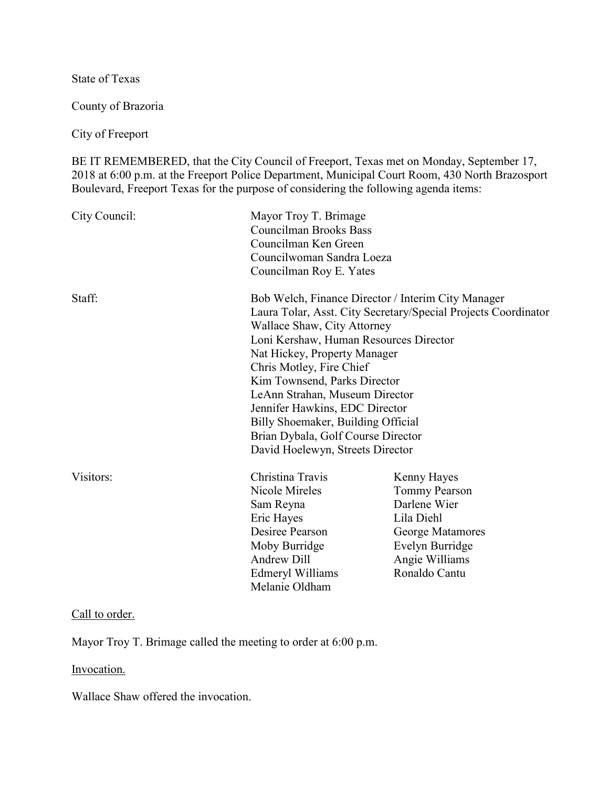State of Texas

County of Brazoria

City of Freeport

BE IT REMEMBERED, that the City Council of Freeport, Texas met on Monday, September 17, 2018 at 6:00 p.m. at the Freeport Police Department, Municipal Court Room, 430 North Brazosport Boulevard, Freeport Texas for the purpose of considering the following agenda items:

| City Council: | Mayor Troy T. Brimage<br><b>Councilman Brooks Bass</b><br>Councilman Ken Green<br>Councilwoman Sandra Loeza<br>Councilman Roy E. Yates                                                                                                                                                                                                                                                                                                                                        |                                                                                                                                             |
|---------------|-------------------------------------------------------------------------------------------------------------------------------------------------------------------------------------------------------------------------------------------------------------------------------------------------------------------------------------------------------------------------------------------------------------------------------------------------------------------------------|---------------------------------------------------------------------------------------------------------------------------------------------|
| Staff:        | Bob Welch, Finance Director / Interim City Manager<br>Laura Tolar, Asst. City Secretary/Special Projects Coordinator<br>Wallace Shaw, City Attorney<br>Loni Kershaw, Human Resources Director<br>Nat Hickey, Property Manager<br>Chris Motley, Fire Chief<br>Kim Townsend, Parks Director<br>LeAnn Strahan, Museum Director<br>Jennifer Hawkins, EDC Director<br>Billy Shoemaker, Building Official<br>Brian Dybala, Golf Course Director<br>David Hoelewyn, Streets Director |                                                                                                                                             |
| Visitors:     | Christina Travis<br>Nicole Mireles<br>Sam Reyna<br>Eric Hayes<br>Desiree Pearson<br>Moby Burridge<br><b>Andrew Dill</b><br>Edmeryl Williams<br>Melanie Oldham                                                                                                                                                                                                                                                                                                                 | Kenny Hayes<br><b>Tommy Pearson</b><br>Darlene Wier<br>Lila Diehl<br>George Matamores<br>Evelyn Burridge<br>Angie Williams<br>Ronaldo Cantu |

### Call to order.

Mayor Troy T. Brimage called the meeting to order at 6:00 p.m.

# Invocation.

Wallace Shaw offered the invocation.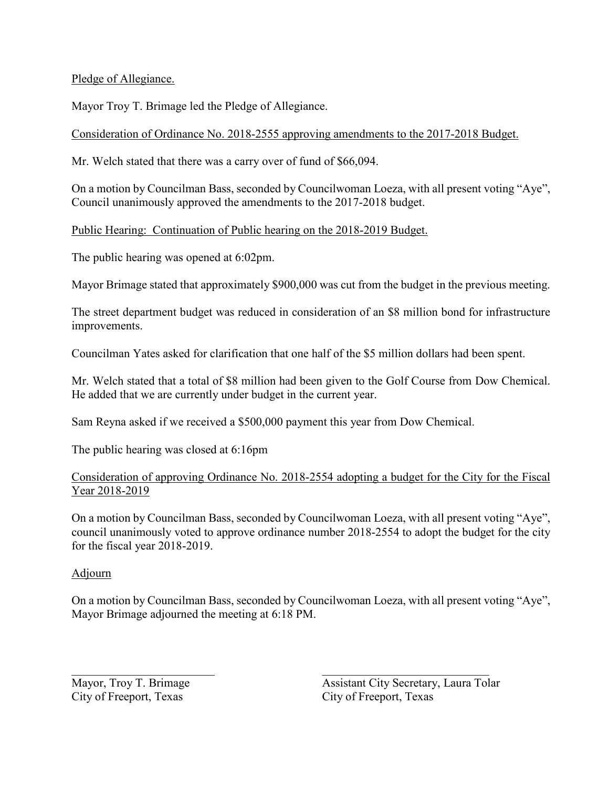Pledge of Allegiance.

Mayor Troy T. Brimage led the Pledge of Allegiance.

Consideration of Ordinance No. 2018-2555 approving amendments to the 2017-2018 Budget.

Mr. Welch stated that there was a carry over of fund of \$66,094.

On a motion by Councilman Bass, seconded by Councilwoman Loeza, with all present voting "Aye", Council unanimously approved the amendments to the 2017-2018 budget.

Public Hearing: Continuation of Public hearing on the 2018-2019 Budget.

The public hearing was opened at 6:02pm.

Mayor Brimage stated that approximately \$900,000 was cut from the budget in the previous meeting.

The street department budget was reduced in consideration of an \$8 million bond for infrastructure improvements.

Councilman Yates asked for clarification that one half of the \$5 million dollars had been spent.

Mr. Welch stated that a total of \$8 million had been given to the Golf Course from Dow Chemical. He added that we are currently under budget in the current year.

Sam Reyna asked if we received a \$500,000 payment this year from Dow Chemical.

The public hearing was closed at 6:16pm

# Consideration of approving Ordinance No. 2018-2554 adopting a budget for the City for the Fiscal Year 2018-2019

On a motion by Councilman Bass, seconded by Councilwoman Loeza, with all present voting "Aye", council unanimously voted to approve ordinance number 2018-2554 to adopt the budget for the city for the fiscal year 2018-2019.

# Adjourn

On a motion by Councilman Bass, seconded by Councilwoman Loeza, with all present voting "Aye", Mayor Brimage adjourned the meeting at 6:18 PM.

 $\mathcal{L}_\text{max}$  , and the contract of the contract of the contract of the contract of the contract of the contract of the contract of the contract of the contract of the contract of the contract of the contract of the contr

City of Freeport, Texas

Mayor, Troy T. Brimage<br>
City of Freeport, Texas<br>
City of Freeport, Texas<br>
City of Freeport, Texas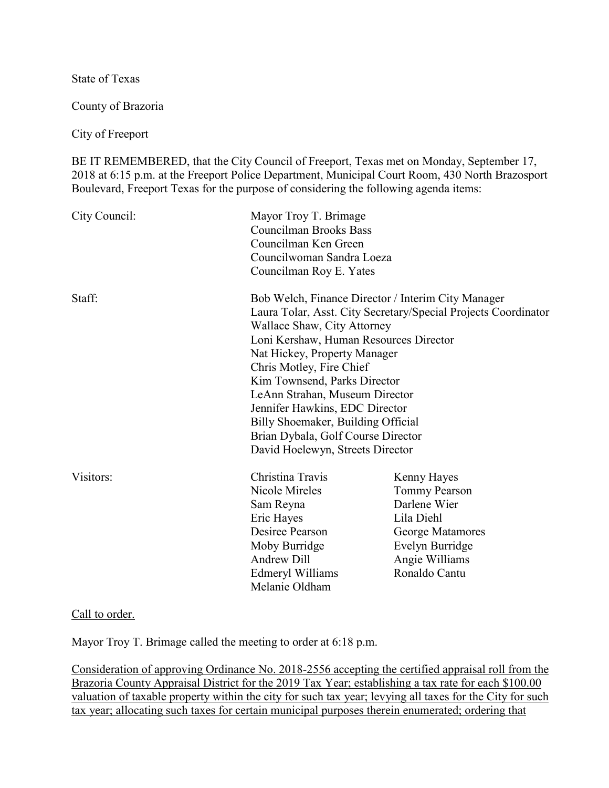State of Texas

County of Brazoria

City of Freeport

BE IT REMEMBERED, that the City Council of Freeport, Texas met on Monday, September 17, 2018 at 6:15 p.m. at the Freeport Police Department, Municipal Court Room, 430 North Brazosport Boulevard, Freeport Texas for the purpose of considering the following agenda items:

| City Council: | Mayor Troy T. Brimage<br><b>Councilman Brooks Bass</b><br>Councilman Ken Green<br>Councilwoman Sandra Loeza<br>Councilman Roy E. Yates                                                                                                                                                                                                                                                                                                                                        |                                                                                                                                             |
|---------------|-------------------------------------------------------------------------------------------------------------------------------------------------------------------------------------------------------------------------------------------------------------------------------------------------------------------------------------------------------------------------------------------------------------------------------------------------------------------------------|---------------------------------------------------------------------------------------------------------------------------------------------|
| Staff:        | Bob Welch, Finance Director / Interim City Manager<br>Laura Tolar, Asst. City Secretary/Special Projects Coordinator<br>Wallace Shaw, City Attorney<br>Loni Kershaw, Human Resources Director<br>Nat Hickey, Property Manager<br>Chris Motley, Fire Chief<br>Kim Townsend, Parks Director<br>LeAnn Strahan, Museum Director<br>Jennifer Hawkins, EDC Director<br>Billy Shoemaker, Building Official<br>Brian Dybala, Golf Course Director<br>David Hoelewyn, Streets Director |                                                                                                                                             |
| Visitors:     | Christina Travis<br>Nicole Mireles<br>Sam Reyna<br>Eric Hayes<br>Desiree Pearson<br>Moby Burridge<br><b>Andrew Dill</b><br>Edmeryl Williams<br>Melanie Oldham                                                                                                                                                                                                                                                                                                                 | Kenny Hayes<br><b>Tommy Pearson</b><br>Darlene Wier<br>Lila Diehl<br>George Matamores<br>Evelyn Burridge<br>Angie Williams<br>Ronaldo Cantu |

#### Call to order.

Mayor Troy T. Brimage called the meeting to order at 6:18 p.m.

Consideration of approving Ordinance No. 2018-2556 accepting the certified appraisal roll from the Brazoria County Appraisal District for the 2019 Tax Year; establishing a tax rate for each \$100.00 valuation of taxable property within the city for such tax year; levying all taxes for the City for such tax year; allocating such taxes for certain municipal purposes therein enumerated; ordering that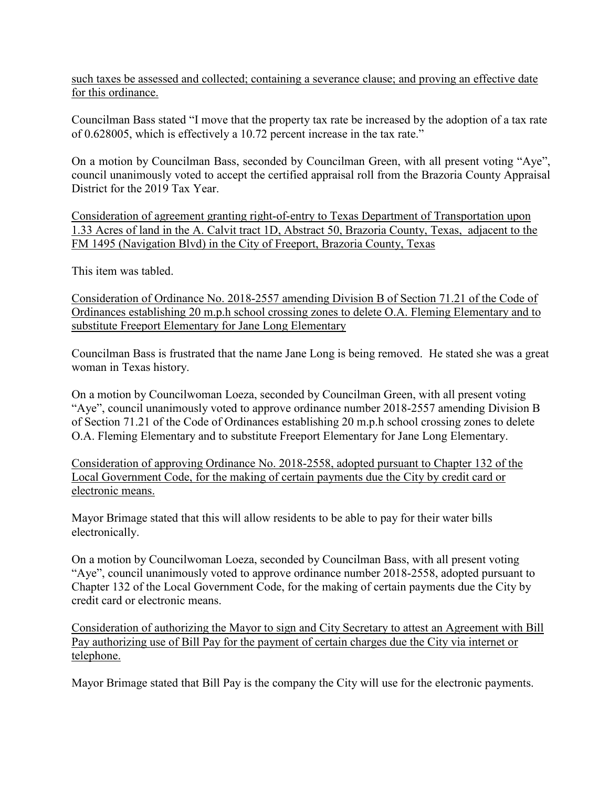such taxes be assessed and collected; containing a severance clause; and proving an effective date for this ordinance.

Councilman Bass stated "I move that the property tax rate be increased by the adoption of a tax rate of 0.628005, which is effectively a 10.72 percent increase in the tax rate."

On a motion by Councilman Bass, seconded by Councilman Green, with all present voting "Aye", council unanimously voted to accept the certified appraisal roll from the Brazoria County Appraisal District for the 2019 Tax Year.

Consideration of agreement granting right-of-entry to Texas Department of Transportation upon 1.33 Acres of land in the A. Calvit tract 1D, Abstract 50, Brazoria County, Texas, adjacent to the FM 1495 (Navigation Blvd) in the City of Freeport, Brazoria County, Texas

This item was tabled.

Consideration of Ordinance No. 2018-2557 amending Division B of Section 71.21 of the Code of Ordinances establishing 20 m.p.h school crossing zones to delete O.A. Fleming Elementary and to substitute Freeport Elementary for Jane Long Elementary

Councilman Bass is frustrated that the name Jane Long is being removed. He stated she was a great woman in Texas history.

On a motion by Councilwoman Loeza, seconded by Councilman Green, with all present voting "Aye", council unanimously voted to approve ordinance number 2018-2557 amending Division B of Section 71.21 of the Code of Ordinances establishing 20 m.p.h school crossing zones to delete O.A. Fleming Elementary and to substitute Freeport Elementary for Jane Long Elementary.

Consideration of approving Ordinance No. 2018-2558, adopted pursuant to Chapter 132 of the Local Government Code, for the making of certain payments due the City by credit card or electronic means.

Mayor Brimage stated that this will allow residents to be able to pay for their water bills electronically.

On a motion by Councilwoman Loeza, seconded by Councilman Bass, with all present voting "Aye", council unanimously voted to approve ordinance number 2018-2558, adopted pursuant to Chapter 132 of the Local Government Code, for the making of certain payments due the City by credit card or electronic means.

Consideration of authorizing the Mayor to sign and City Secretary to attest an Agreement with Bill Pay authorizing use of Bill Pay for the payment of certain charges due the City via internet or telephone.

Mayor Brimage stated that Bill Pay is the company the City will use for the electronic payments.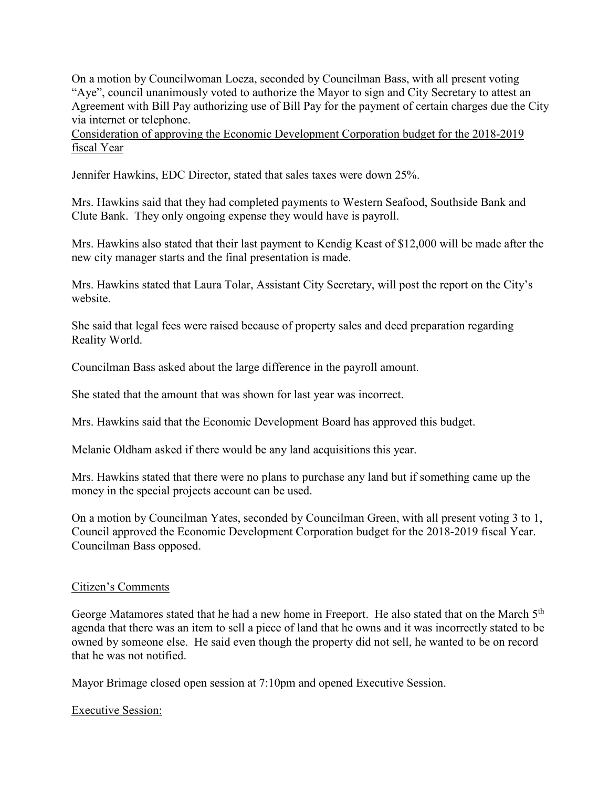On a motion by Councilwoman Loeza, seconded by Councilman Bass, with all present voting "Aye", council unanimously voted to authorize the Mayor to sign and City Secretary to attest an Agreement with Bill Pay authorizing use of Bill Pay for the payment of certain charges due the City via internet or telephone.

Consideration of approving the Economic Development Corporation budget for the 2018-2019 fiscal Year

Jennifer Hawkins, EDC Director, stated that sales taxes were down 25%.

Mrs. Hawkins said that they had completed payments to Western Seafood, Southside Bank and Clute Bank. They only ongoing expense they would have is payroll.

Mrs. Hawkins also stated that their last payment to Kendig Keast of \$12,000 will be made after the new city manager starts and the final presentation is made.

Mrs. Hawkins stated that Laura Tolar, Assistant City Secretary, will post the report on the City's website.

She said that legal fees were raised because of property sales and deed preparation regarding Reality World.

Councilman Bass asked about the large difference in the payroll amount.

She stated that the amount that was shown for last year was incorrect.

Mrs. Hawkins said that the Economic Development Board has approved this budget.

Melanie Oldham asked if there would be any land acquisitions this year.

Mrs. Hawkins stated that there were no plans to purchase any land but if something came up the money in the special projects account can be used.

On a motion by Councilman Yates, seconded by Councilman Green, with all present voting 3 to 1, Council approved the Economic Development Corporation budget for the 2018-2019 fiscal Year. Councilman Bass opposed.

### Citizen's Comments

George Matamores stated that he had a new home in Freeport. He also stated that on the March 5<sup>th</sup> agenda that there was an item to sell a piece of land that he owns and it was incorrectly stated to be owned by someone else. He said even though the property did not sell, he wanted to be on record that he was not notified.

Mayor Brimage closed open session at 7:10pm and opened Executive Session.

#### Executive Session: